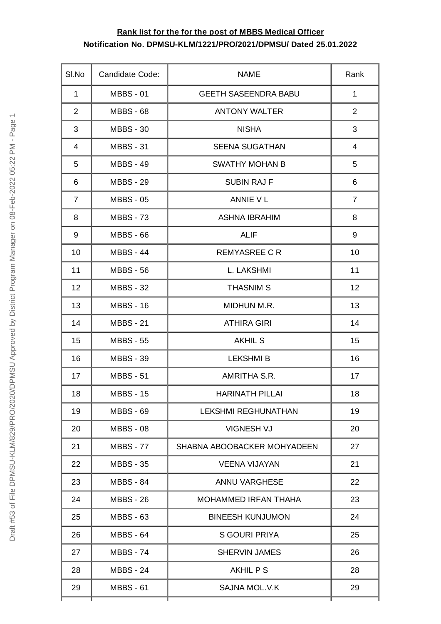## **Rank list for the for the post of MBBS Medical Officer Notification No. DPMSU-KLM/1221/PRO/2021/DPMSU/ Dated 25.01.2022**

| Sl.No          | Candidate Code:  | <b>NAME</b>                 | Rank           |
|----------------|------------------|-----------------------------|----------------|
| $\mathbf 1$    | <b>MBBS - 01</b> | <b>GEETH SASEENDRA BABU</b> | $\mathbf{1}$   |
| $\overline{2}$ | <b>MBBS - 68</b> | <b>ANTONY WALTER</b>        | $\overline{2}$ |
| 3              | <b>MBBS - 30</b> | <b>NISHA</b>                | 3              |
| 4              | <b>MBBS - 31</b> | <b>SEENA SUGATHAN</b>       | 4              |
| 5              | <b>MBBS - 49</b> | <b>SWATHY MOHAN B</b>       | 5              |
| 6              | <b>MBBS - 29</b> | <b>SUBIN RAJ F</b>          | 6              |
| $\overline{7}$ | <b>MBBS - 05</b> | ANNIE V L                   | $\overline{7}$ |
| 8              | <b>MBBS - 73</b> | <b>ASHNA IBRAHIM</b>        | 8              |
| 9              | <b>MBBS - 66</b> | <b>ALIF</b>                 | 9              |
| 10             | <b>MBBS - 44</b> | <b>REMYASREE C R</b>        | 10             |
| 11             | <b>MBBS - 56</b> | L. LAKSHMI                  | 11             |
| 12             | <b>MBBS - 32</b> | <b>THASNIM S</b>            | 12             |
| 13             | <b>MBBS - 16</b> | MIDHUN M.R.                 | 13             |
| 14             | <b>MBBS - 21</b> | <b>ATHIRA GIRI</b>          | 14             |
| 15             | <b>MBBS - 55</b> | <b>AKHIL S</b>              | 15             |
| 16             | <b>MBBS - 39</b> | <b>LEKSHMI B</b>            | 16             |
| 17             | <b>MBBS - 51</b> | AMRITHA S.R.                | 17             |
| 18             | <b>MBBS - 15</b> | <b>HARINATH PILLAI</b>      | 18             |
| 19             | <b>MBBS - 69</b> | LEKSHMI REGHUNATHAN         | 19             |
| 20             | <b>MBBS - 08</b> | <b>VIGNESH VJ</b>           | 20             |
| 21             | <b>MBBS - 77</b> | SHABNA ABOOBACKER MOHYADEEN | 27             |
| 22             | <b>MBBS - 35</b> | <b>VEENA VIJAYAN</b>        | 21             |
| 23             | <b>MBBS - 84</b> | <b>ANNU VARGHESE</b>        | 22             |
| 24             | <b>MBBS - 26</b> | MOHAMMED IRFAN THAHA        | 23             |
| 25             | <b>MBBS - 63</b> | <b>BINEESH KUNJUMON</b>     | 24             |
| 26             | <b>MBBS - 64</b> | S GOURI PRIYA               | 25             |
| 27             | <b>MBBS - 74</b> | <b>SHERVIN JAMES</b>        | 26             |
| 28             | <b>MBBS - 24</b> | AKHIL P S                   | 28             |
| 29             | <b>MBBS - 61</b> | SAJNA MOL.V.K               | 29             |
|                |                  |                             |                |